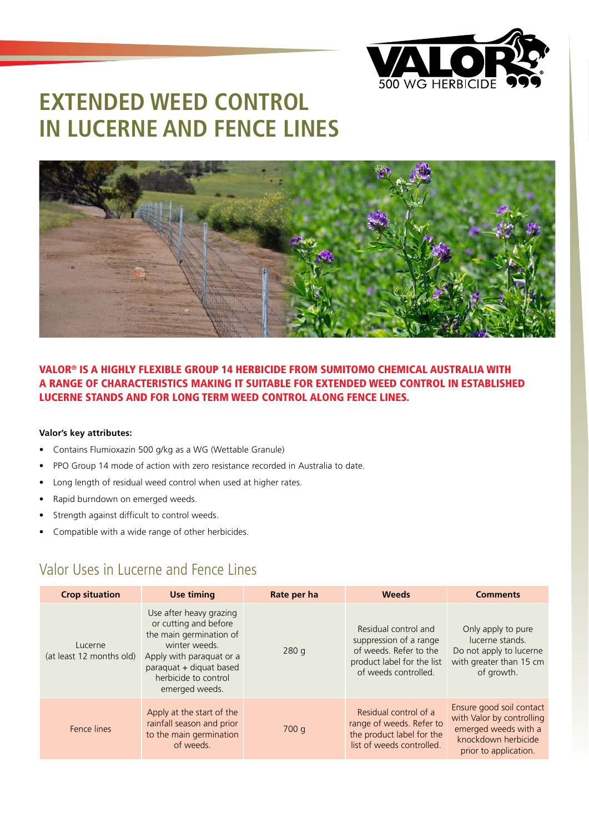

# **EXTENDED WEED CONTROL IN LUCERNE AND FENCE LINES**



#### VALOR® IS A HIGHLY FLEXIBLE GROUP 14 HERBICIDE FROM SUMITOMO CHEMICAL AUSTRALIA WITH A RANGE OF CHARACTERISTICS MAKING IT SUITABLE FOR EXTENDED WEED CONTROL IN ESTABLISHED LUCERNE STANDS AND FOR LONG TERM WEED CONTROL ALONG FENCE LINES.

#### **Valor's key attributes:**

- Contains Flumioxazin 500 g/kg as a WG (Wettable Granule)
- PPO Group 14 mode of action with zero resistance recorded in Australia to date.
- Long length of residual weed control when used at higher rates.
- Rapid burndown on emerged weeds.
- Strength against difficult to control weeds.
- Compatible with a wide range of other herbicides.

### Valor Uses in Lucerne and Fence Lines

| <b>Crop situation</b>               | <b>Use timing</b>                                                                                                                                                                             | Rate per ha | <b>Weeds</b>                                                                                                                   | <b>Comments</b>                                                                                                               |
|-------------------------------------|-----------------------------------------------------------------------------------------------------------------------------------------------------------------------------------------------|-------------|--------------------------------------------------------------------------------------------------------------------------------|-------------------------------------------------------------------------------------------------------------------------------|
| Lucerne<br>(at least 12 months old) | Use after heavy grazing<br>or cutting and before<br>the main germination of<br>winter weeds.<br>Apply with paraquat or a<br>paraquat + diquat based<br>herbicide to control<br>emerged weeds. | 280q        | Residual control and<br>suppression of a range<br>of weeds. Refer to the<br>product label for the list<br>of weeds controlled. | Only apply to pure<br>lucerne stands.<br>Do not apply to lucerne<br>with greater than 15 cm<br>of growth.                     |
| Fence lines                         | Apply at the start of the<br>rainfall season and prior<br>to the main germination<br>of weeds.                                                                                                | 700q        | Residual control of a<br>range of weeds. Refer to<br>the product label for the<br>list of weeds controlled.                    | Ensure good soil contact<br>with Valor by controlling<br>emerged weeds with a<br>knockdown herbicide<br>prior to application. |